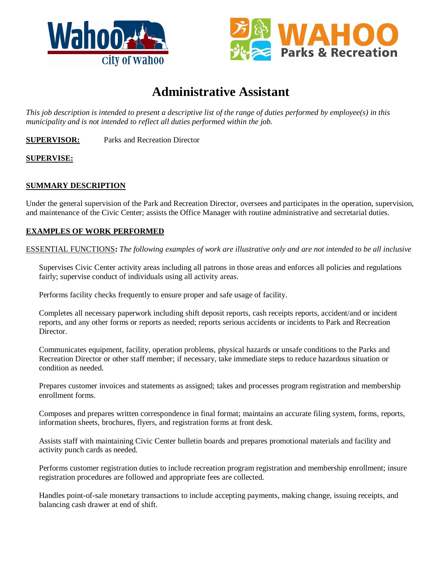



# **Administrative Assistant**

*This job description is intended to present a descriptive list of the range of duties performed by employee(s) in this municipality and is not intended to reflect all duties performed within the job.*

**SUPERVISOR:** Parks and Recreation Director

# **SUPERVISE:**

## **SUMMARY DESCRIPTION**

Under the general supervision of the Park and Recreation Director, oversees and participates in the operation, supervision, and maintenance of the Civic Center; assists the Office Manager with routine administrative and secretarial duties.

### **EXAMPLES OF WORK PERFORMED**

ESSENTIAL FUNCTIONS**:** *The following examples of work are illustrative only and are not intended to be all inclusive*

Supervises Civic Center activity areas including all patrons in those areas and enforces all policies and regulations fairly; supervise conduct of individuals using all activity areas.

Performs facility checks frequently to ensure proper and safe usage of facility.

Completes all necessary paperwork including shift deposit reports, cash receipts reports, accident/and or incident reports, and any other forms or reports as needed; reports serious accidents or incidents to Park and Recreation Director.

Communicates equipment, facility, operation problems, physical hazards or unsafe conditions to the Parks and Recreation Director or other staff member; if necessary, take immediate steps to reduce hazardous situation or condition as needed.

Prepares customer invoices and statements as assigned; takes and processes program registration and membership enrollment forms.

Composes and prepares written correspondence in final format; maintains an accurate filing system, forms, reports, information sheets, brochures, flyers, and registration forms at front desk.

Assists staff with maintaining Civic Center bulletin boards and prepares promotional materials and facility and activity punch cards as needed.

Performs customer registration duties to include recreation program registration and membership enrollment; insure registration procedures are followed and appropriate fees are collected.

Handles point-of-sale monetary transactions to include accepting payments, making change, issuing receipts, and balancing cash drawer at end of shift.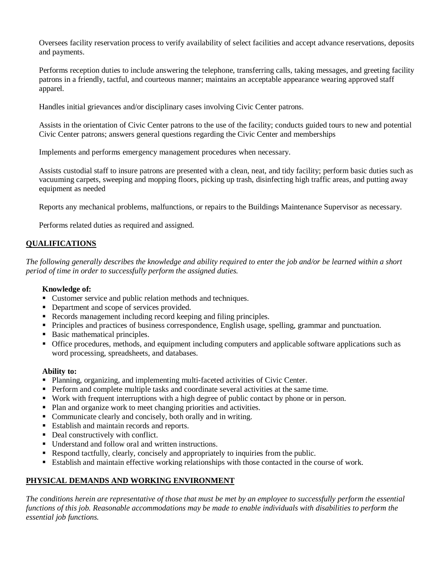Oversees facility reservation process to verify availability of select facilities and accept advance reservations, deposits and payments.

Performs reception duties to include answering the telephone, transferring calls, taking messages, and greeting facility patrons in a friendly, tactful, and courteous manner; maintains an acceptable appearance wearing approved staff apparel.

Handles initial grievances and/or disciplinary cases involving Civic Center patrons.

Assists in the orientation of Civic Center patrons to the use of the facility; conducts guided tours to new and potential Civic Center patrons; answers general questions regarding the Civic Center and memberships

Implements and performs emergency management procedures when necessary.

Assists custodial staff to insure patrons are presented with a clean, neat, and tidy facility; perform basic duties such as vacuuming carpets, sweeping and mopping floors, picking up trash, disinfecting high traffic areas, and putting away equipment as needed

Reports any mechanical problems, malfunctions, or repairs to the Buildings Maintenance Supervisor as necessary.

Performs related duties as required and assigned.

# **QUALIFICATIONS**

*The following generally describes the knowledge and ability required to enter the job and/or be learned within a short period of time in order to successfully perform the assigned duties.*

#### **Knowledge of:**

- Customer service and public relation methods and techniques.
- Department and scope of services provided.
- Records management including record keeping and filing principles.
- Principles and practices of business correspondence, English usage, spelling, grammar and punctuation.
- Basic mathematical principles.
- Office procedures, methods, and equipment including computers and applicable software applications such as word processing, spreadsheets, and databases.

#### **Ability to:**

- Planning, organizing, and implementing multi-faceted activities of Civic Center.
- Perform and complete multiple tasks and coordinate several activities at the same time.
- Work with frequent interruptions with a high degree of public contact by phone or in person.
- Plan and organize work to meet changing priorities and activities.
- Communicate clearly and concisely, both orally and in writing.
- Establish and maintain records and reports.
- Deal constructively with conflict.
- Understand and follow oral and written instructions.
- Respond tactfully, clearly, concisely and appropriately to inquiries from the public.
- Establish and maintain effective working relationships with those contacted in the course of work.

## **PHYSICAL DEMANDS AND WORKING ENVIRONMENT**

*The conditions herein are representative of those that must be met by an employee to successfully perform the essential functions of this job. Reasonable accommodations may be made to enable individuals with disabilities to perform the essential job functions.*